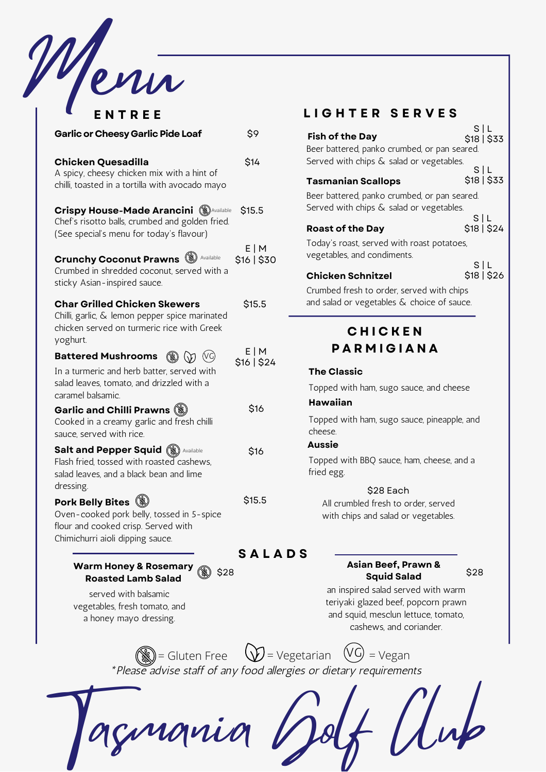

| ENTREE                                                                                                                                                     |                      |
|------------------------------------------------------------------------------------------------------------------------------------------------------------|----------------------|
| <b>Garlic or Cheesy Garlic Pide Loaf</b>                                                                                                                   | \$9                  |
| <b>Chicken Quesadilla</b><br>A spicy, cheesy chicken mix with a hint of<br>chilli, toasted in a tortilla with avocado mayo                                 | \$14                 |
| <b>Crispy House-Made Arancini (S) Available</b><br>Chef's risotto balls, crumbed and golden fried.<br>(See special's menu for today's flavour)             | \$15.5               |
| <b>Crunchy Coconut Prawns Securially</b> Available<br>Crumbed in shredded coconut, served with a<br>sticky Asian-inspired sauce.                           | E M<br>\$16   \$30   |
| <b>Char Grilled Chicken Skewers</b><br>Chilli, garlic, & lemon pepper spice marinated<br>chicken served on turmeric rice with Greek<br>yoghurt.            | \$15.5               |
| <b>Battered Mushrooms</b><br>(\$) (}) (VG)<br>In a turmeric and herb batter, served with<br>salad leaves, tomato, and drizzled with a<br>caramel balsamic. | E   M<br>\$16   \$24 |
| Garlic and Chilli Prawns (<br>Cooked in a creamy garlic and fresh chilli<br>sauce, served with rice.                                                       | \$16                 |
| <b>Salt and Pepper Squid (W) Available</b><br>Flash fried, tossed with roasted cashews,<br>salad leaves, and a black bean and lime<br>dressing.            | \$16                 |
| Pork Belly Bites (<br>Oven-cooked pork belly, tossed in 5-spice<br>flour and cooked crisp. Served with<br>Chimichurri aioli dipping sauce.                 | \$15.5               |

**Warm Honey & Rosemary** \$28 **Roasted Lamb Salad**

served with balsamic vegetables, fresh tomato, and a honey mayo dressing.

## **E N T R E E L I G H T E R S E R V E S**

|                                               | S L         |
|-----------------------------------------------|-------------|
| <b>Fish of the Day</b>                        | \$18   \$33 |
| Beer battered, panko crumbed, or pan seared.  |             |
| Served with chips & salad or vegetables.      |             |
|                                               | SIL         |
| <b>Tasmanian Scallops</b>                     | \$18   \$33 |
| Beer battered, panko crumbed, or pan seared.  |             |
| Served with chips & salad or vegetables.      |             |
|                                               | S L         |
| <b>Roast of the Day</b>                       | \$18   \$24 |
| Today's roast, served with roast potatoes,    |             |
| vegetables, and condiments.                   |             |
|                                               | S L         |
| <b>Chicken Schnitzel</b>                      | \$18   \$26 |
| Crumbed fresh to order, served with chips     |             |
| and salad or vegetables $\&$ choice of sauce. |             |

# **C H I C K E N P A R M I G I A N A**

### **The Classic**

Topped with ham, sugo sauce, and cheese

### **Hawaiian**

Topped with ham, sugo sauce, pineapple, and cheese.

### **Aussie**

Topped with BBQ sauce, ham, cheese, and a fried egg.

### \$28 Each

All crumbled fresh to order, served with chips and salad or vegetables.

### **S A L A D S**

### **Asian Beef, Prawn & Squid Salad**

\$28

an inspired salad served with warm teriyaki glazed beef, popcorn prawn and squid, mesclun lettuce, tomato, cashews, and coriander.

\*Please advise staff of any food allergies or dietary requirements  $\binom{2}{\mathbb{N}}$  = Gluten Free  $\bigcup$  = Vegetarian  $\bigcirc$  = Vegan

Tasmania Golf Club